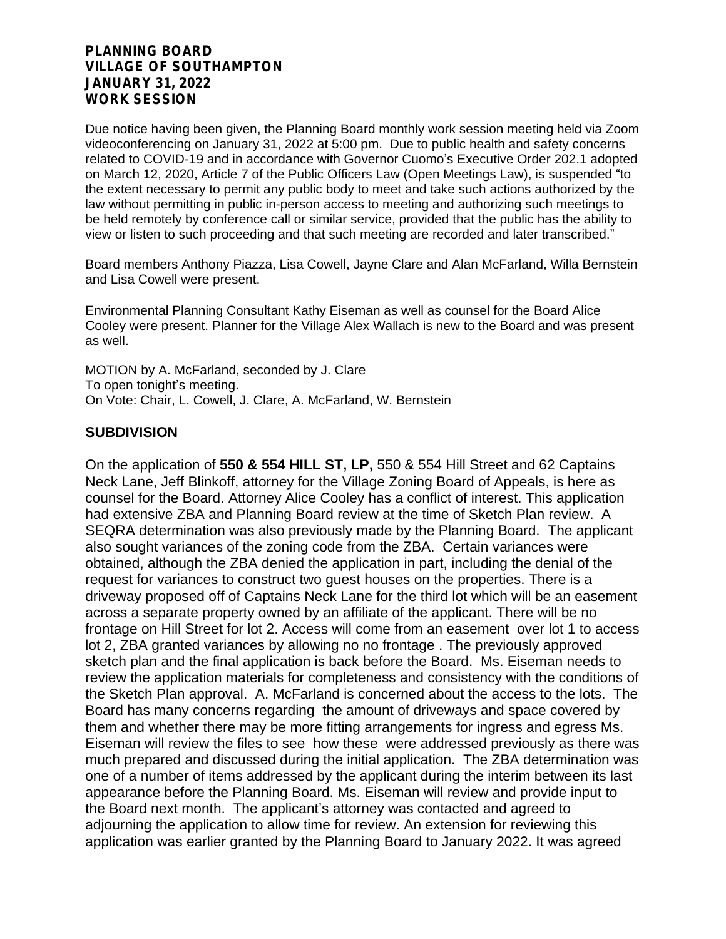### **PLANNING BOARD VILLAGE OF SOUTHAMPTON JANUARY 31, 2022 WORK SESSION**

Due notice having been given, the Planning Board monthly work session meeting held via Zoom videoconferencing on January 31, 2022 at 5:00 pm. Due to public health and safety concerns related to COVID-19 and in accordance with Governor Cuomo's Executive Order 202.1 adopted on March 12, 2020, Article 7 of the Public Officers Law (Open Meetings Law), is suspended "to the extent necessary to permit any public body to meet and take such actions authorized by the law without permitting in public in-person access to meeting and authorizing such meetings to be held remotely by conference call or similar service, provided that the public has the ability to view or listen to such proceeding and that such meeting are recorded and later transcribed."

Board members Anthony Piazza, Lisa Cowell, Jayne Clare and Alan McFarland, Willa Bernstein and Lisa Cowell were present.

Environmental Planning Consultant Kathy Eiseman as well as counsel for the Board Alice Cooley were present. Planner for the Village Alex Wallach is new to the Board and was present as well.

MOTION by A. McFarland, seconded by J. Clare To open tonight's meeting. On Vote: Chair, L. Cowell, J. Clare, A. McFarland, W. Bernstein

## **SUBDIVISION**

On the application of **550 & 554 HILL ST, LP,** 550 & 554 Hill Street and 62 Captains Neck Lane, Jeff Blinkoff, attorney for the Village Zoning Board of Appeals, is here as counsel for the Board. Attorney Alice Cooley has a conflict of interest. This application had extensive ZBA and Planning Board review at the time of Sketch Plan review. A SEQRA determination was also previously made by the Planning Board. The applicant also sought variances of the zoning code from the ZBA. Certain variances were obtained, although the ZBA denied the application in part, including the denial of the request for variances to construct two guest houses on the properties. There is a driveway proposed off of Captains Neck Lane for the third lot which will be an easement across a separate property owned by an affiliate of the applicant. There will be no frontage on Hill Street for lot 2. Access will come from an easement over lot 1 to access lot 2, ZBA granted variances by allowing no no frontage . The previously approved sketch plan and the final application is back before the Board. Ms. Eiseman needs to review the application materials for completeness and consistency with the conditions of the Sketch Plan approval. A. McFarland is concerned about the access to the lots. The Board has many concerns regarding the amount of driveways and space covered by them and whether there may be more fitting arrangements for ingress and egress Ms. Eiseman will review the files to see how these were addressed previously as there was much prepared and discussed during the initial application. The ZBA determination was one of a number of items addressed by the applicant during the interim between its last appearance before the Planning Board. Ms. Eiseman will review and provide input to the Board next month. The applicant's attorney was contacted and agreed to adjourning the application to allow time for review. An extension for reviewing this application was earlier granted by the Planning Board to January 2022. It was agreed